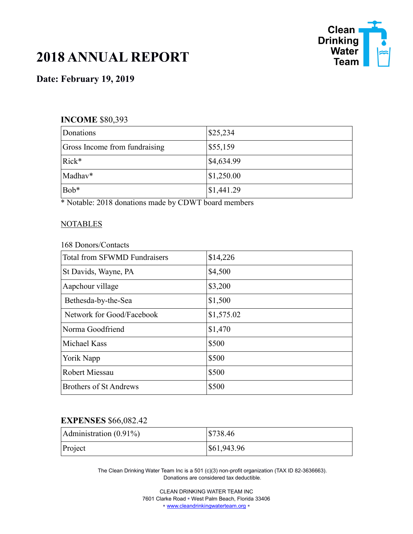

# **2018 ANNUAL REPORT**

# **Date: February 19, 2019**

### **INCOME** \$80,393

| Donations                     | \$25,234   |
|-------------------------------|------------|
| Gross Income from fundraising | \$55,159   |
| $Rick*$                       | \$4,634.99 |
| Madhav*                       | \$1,250.00 |
| Bob*                          | \$1,441.29 |

\* Notable: 2018 donations made by CDWT board members

#### **NOTABLES**

168 Donors/Contacts

| <b>Total from SFWMD Fundraisers</b> | \$14,226   |
|-------------------------------------|------------|
| St Davids, Wayne, PA                | \$4,500    |
| Aapchour village                    | \$3,200    |
| Bethesda-by-the-Sea                 | \$1,500    |
| Network for Good/Facebook           | \$1,575.02 |
| Norma Goodfriend                    | \$1,470    |
| <b>Michael Kass</b>                 | \$500      |
| Yorik Napp                          | \$500      |
| <b>Robert Miessau</b>               | \$500      |
| <b>Brothers of St Andrews</b>       | \$500      |

## **EXPENSES** \$66,082.42

| Administration $(0.91\%)$ | \$738.46    |
|---------------------------|-------------|
| Project                   | \$61,943.96 |

The Clean Drinking Water Team Inc is a 501 (c)(3) non-profit organization (TAX ID 82-3636663). Donations are considered tax deductible.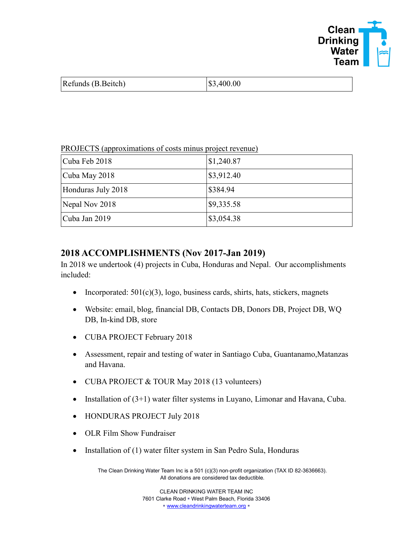

| Refunds (B.Beitch) | \$3,400.00 |
|--------------------|------------|
|                    |            |

| PROJECTS (approximations of costs minus project revenue) |                       |
|----------------------------------------------------------|-----------------------|
| Cuba Feb 2018                                            | \$1,240.87            |
| Cuba May 2018                                            | $\frac{$3,912.40}{ }$ |
| Honduras July 2018                                       | \$384.94              |
| Nepal Nov 2018                                           | \$9,335.58            |
| Cuba Jan 2019                                            | \$3,054.38            |

PROJECTS (approximations of costs minus project revenue)

## **2018 ACCOMPLISHMENTS (Nov 2017-Jan 2019)**

In 2018 we undertook (4) projects in Cuba, Honduras and Nepal. Our accomplishments included:

- Incorporated:  $501(c)(3)$ , logo, business cards, shirts, hats, stickers, magnets
- Website: email, blog, financial DB, Contacts DB, Donors DB, Project DB, WQ DB, In-kind DB, store
- CUBA PROJECT February 2018
- Assessment, repair and testing of water in Santiago Cuba, Guantanamo,Matanzas and Havana.
- CUBA PROJECT & TOUR May 2018 (13 volunteers)
- Installation of  $(3+1)$  water filter systems in Luyano, Limonar and Havana, Cuba.
- HONDURAS PROJECT July 2018
- OLR Film Show Fundraiser
- Installation of  $(1)$  water filter system in San Pedro Sula, Honduras

The Clean Drinking Water Team Inc is a 501 (c)(3) non-profit organization (TAX ID 82-3636663). All donations are considered tax deductible.